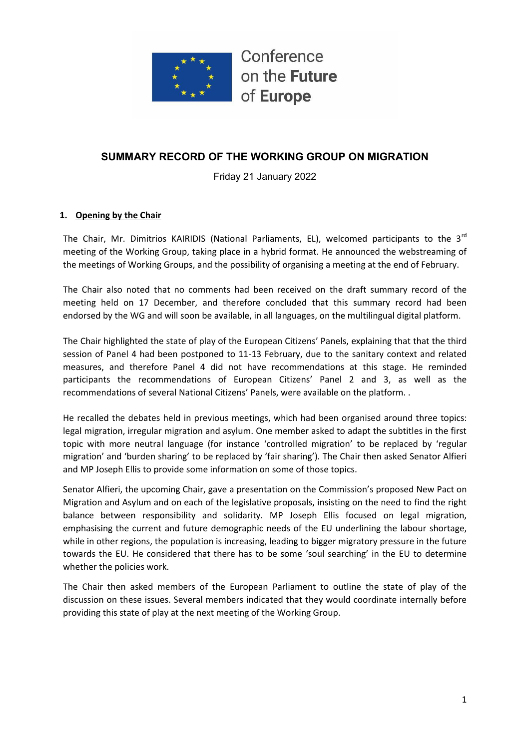

# **SUMMARY RECORD OF THE WORKING GROUP ON MIGRATION**

Friday 21 January 2022

## **1. Opening by the Chair**

The Chair, Mr. Dimitrios KAIRIDIS (National Parliaments, EL), welcomed participants to the 3<sup>rd</sup> meeting of the Working Group, taking place in a hybrid format. He announced the webstreaming of the meetings of Working Groups, and the possibility of organising a meeting at the end of February.

The Chair also noted that no comments had been received on the draft summary record of the meeting held on 17 December, and therefore concluded that this summary record had been endorsed by the WG and will soon be available, in all languages, on the multilingual digital platform.

The Chair highlighted the state of play of the European Citizens' Panels, explaining that that the third session of Panel 4 had been postponed to 11-13 February, due to the sanitary context and related measures, and therefore Panel 4 did not have recommendations at this stage. He reminded participants the recommendations of European Citizens' Panel 2 and 3, as well as the recommendations of several National Citizens' Panels, were available on the platform. .

He recalled the debates held in previous meetings, which had been organised around three topics: legal migration, irregular migration and asylum. One member asked to adapt the subtitles in the first topic with more neutral language (for instance 'controlled migration' to be replaced by 'regular migration' and 'burden sharing' to be replaced by 'fair sharing'). The Chair then asked Senator Alfieri and MP Joseph Ellis to provide some information on some of those topics.

Senator Alfieri, the upcoming Chair, gave a presentation on the Commission's proposed New Pact on Migration and Asylum and on each of the legislative proposals, insisting on the need to find the right balance between responsibility and solidarity. MP Joseph Ellis focused on legal migration, emphasising the current and future demographic needs of the EU underlining the labour shortage, while in other regions, the population is increasing, leading to bigger migratory pressure in the future towards the EU. He considered that there has to be some 'soul searching' in the EU to determine whether the policies work.

The Chair then asked members of the European Parliament to outline the state of play of the discussion on these issues. Several members indicated that they would coordinate internally before providing this state of play at the next meeting of the Working Group.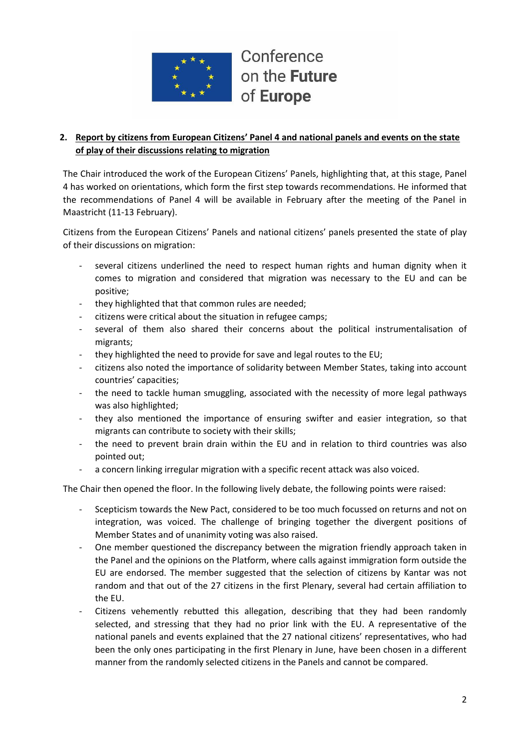

## **2. Report by citizens from European Citizens' Panel 4 and national panels and events on the state of play of their discussions relating to migration**

The Chair introduced the work of the European Citizens' Panels, highlighting that, at this stage, Panel 4 has worked on orientations, which form the first step towards recommendations. He informed that the recommendations of Panel 4 will be available in February after the meeting of the Panel in Maastricht (11-13 February).

Citizens from the European Citizens' Panels and national citizens' panels presented the state of play of their discussions on migration:

- several citizens underlined the need to respect human rights and human dignity when it comes to migration and considered that migration was necessary to the EU and can be positive;
- they highlighted that that common rules are needed;
- citizens were critical about the situation in refugee camps;
- several of them also shared their concerns about the political instrumentalisation of migrants;
- they highlighted the need to provide for save and legal routes to the EU;
- citizens also noted the importance of solidarity between Member States, taking into account countries' capacities;
- the need to tackle human smuggling, associated with the necessity of more legal pathways was also highlighted;
- they also mentioned the importance of ensuring swifter and easier integration, so that migrants can contribute to society with their skills;
- the need to prevent brain drain within the EU and in relation to third countries was also pointed out;
- a concern linking irregular migration with a specific recent attack was also voiced.

The Chair then opened the floor. In the following lively debate, the following points were raised:

- Scepticism towards the New Pact, considered to be too much focussed on returns and not on integration, was voiced. The challenge of bringing together the divergent positions of Member States and of unanimity voting was also raised.
- One member questioned the discrepancy between the migration friendly approach taken in the Panel and the opinions on the Platform, where calls against immigration form outside the EU are endorsed. The member suggested that the selection of citizens by Kantar was not random and that out of the 27 citizens in the first Plenary, several had certain affiliation to the EU.
- Citizens vehemently rebutted this allegation, describing that they had been randomly selected, and stressing that they had no prior link with the EU. A representative of the national panels and events explained that the 27 national citizens' representatives, who had been the only ones participating in the first Plenary in June, have been chosen in a different manner from the randomly selected citizens in the Panels and cannot be compared.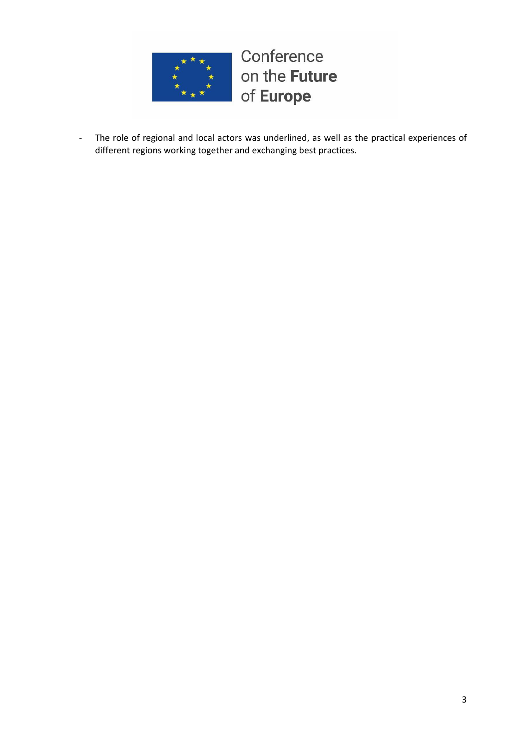

- The role of regional and local actors was underlined, as well as the practical experiences of different regions working together and exchanging best practices.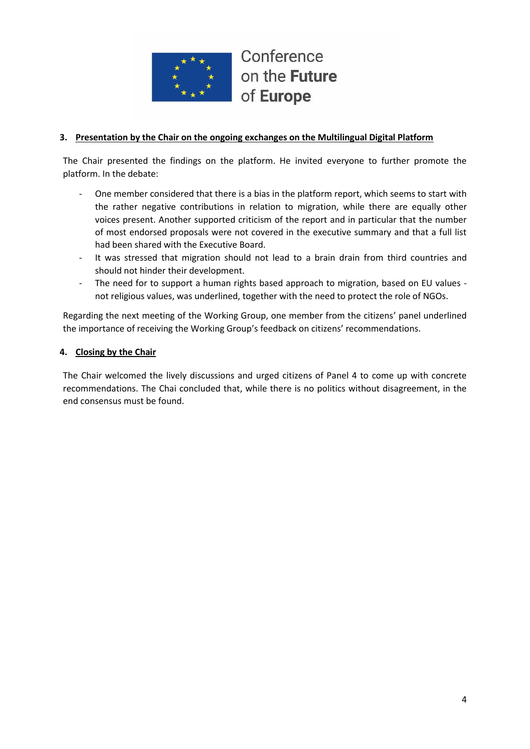

### **3. Presentation by the Chair on the ongoing exchanges on the Multilingual Digital Platform**

The Chair presented the findings on the platform. He invited everyone to further promote the platform. In the debate:

- One member considered that there is a bias in the platform report, which seems to start with the rather negative contributions in relation to migration, while there are equally other voices present. Another supported criticism of the report and in particular that the number of most endorsed proposals were not covered in the executive summary and that a full list had been shared with the Executive Board.
- It was stressed that migration should not lead to a brain drain from third countries and should not hinder their development.
- The need for to support a human rights based approach to migration, based on EU values not religious values, was underlined, together with the need to protect the role of NGOs.

Regarding the next meeting of the Working Group, one member from the citizens' panel underlined the importance of receiving the Working Group's feedback on citizens' recommendations.

#### **4. Closing by the Chair**

The Chair welcomed the lively discussions and urged citizens of Panel 4 to come up with concrete recommendations. The Chai concluded that, while there is no politics without disagreement, in the end consensus must be found.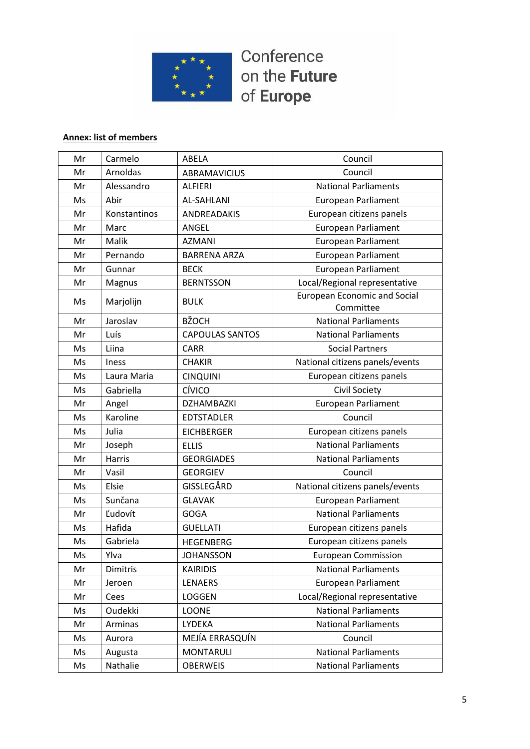

# **Annex: list of members**

| Mr | Carmelo       | ABELA                  | Council                                          |
|----|---------------|------------------------|--------------------------------------------------|
| Mr | Arnoldas      | <b>ABRAMAVICIUS</b>    | Council                                          |
| Mr | Alessandro    | <b>ALFIERI</b>         | <b>National Parliaments</b>                      |
| Ms | Abir          | <b>AL-SAHLANI</b>      | European Parliament                              |
| Mr | Konstantinos  | ANDREADAKIS            | European citizens panels                         |
| Mr | Marc          | ANGEL                  | <b>European Parliament</b>                       |
| Mr | Malik         | <b>AZMANI</b>          | <b>European Parliament</b>                       |
| Mr | Pernando      | <b>BARRENA ARZA</b>    | <b>European Parliament</b>                       |
| Mr | Gunnar        | <b>BECK</b>            | <b>European Parliament</b>                       |
| Mr | Magnus        | <b>BERNTSSON</b>       | Local/Regional representative                    |
| Ms | Marjolijn     | <b>BULK</b>            | <b>European Economic and Social</b><br>Committee |
| Mr | Jaroslav      | <b>BŽOCH</b>           | <b>National Parliaments</b>                      |
| Mr | Luís          | <b>CAPOULAS SANTOS</b> | <b>National Parliaments</b>                      |
| Ms | Liina         | <b>CARR</b>            | <b>Social Partners</b>                           |
| Ms | Iness         | <b>CHAKIR</b>          | National citizens panels/events                  |
| Ms | Laura Maria   | <b>CINQUINI</b>        | European citizens panels                         |
| Ms | Gabriella     | CÍVICO                 | Civil Society                                    |
| Mr | Angel         | DZHAMBAZKI             | <b>European Parliament</b>                       |
| Ms | Karoline      | <b>EDTSTADLER</b>      | Council                                          |
| Ms | Julia         | <b>EICHBERGER</b>      | European citizens panels                         |
| Mr | Joseph        | <b>ELLIS</b>           | <b>National Parliaments</b>                      |
| Mr | <b>Harris</b> | <b>GEORGIADES</b>      | <b>National Parliaments</b>                      |
| Mr | Vasil         | <b>GEORGIEV</b>        | Council                                          |
| Ms | Elsie         | GISSLEGÅRD             | National citizens panels/events                  |
| Ms | Sunčana       | <b>GLAVAK</b>          | <b>European Parliament</b>                       |
| Mr | Ľudovít       | <b>GOGA</b>            | <b>National Parliaments</b>                      |
| Ms | Hafida        | <b>GUELLATI</b>        | European citizens panels                         |
| Ms | Gabriela      | <b>HEGENBERG</b>       | European citizens panels                         |
| Ms | Ylva          | <b>JOHANSSON</b>       | <b>European Commission</b>                       |
| Mr | Dimitris      | <b>KAIRIDIS</b>        | <b>National Parliaments</b>                      |
| Mr | Jeroen        | LENAERS                | <b>European Parliament</b>                       |
| Mr | Cees          | LOGGEN                 | Local/Regional representative                    |
| Ms | Oudekki       | <b>LOONE</b>           | <b>National Parliaments</b>                      |
| Mr | Arminas       | LYDEKA                 | <b>National Parliaments</b>                      |
| Ms | Aurora        | MEJÍA ERRASQUÍN        | Council                                          |
| Ms | Augusta       | <b>MONTARULI</b>       | <b>National Parliaments</b>                      |
| Ms | Nathalie      | <b>OBERWEIS</b>        | <b>National Parliaments</b>                      |